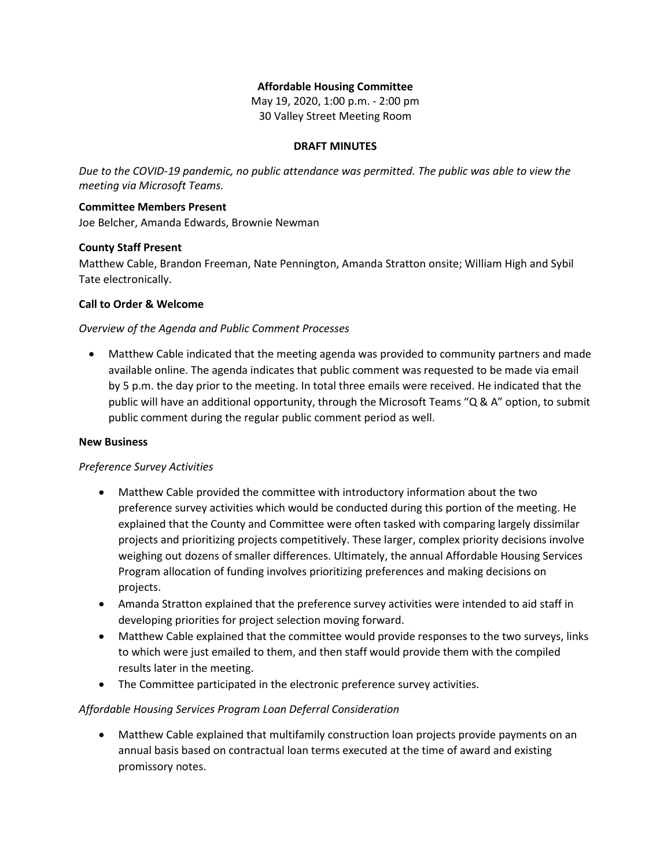#### **Affordable Housing Committee**

May 19, 2020, 1:00 p.m. - 2:00 pm 30 Valley Street Meeting Room

#### **DRAFT MINUTES**

*Due to the COVID-19 pandemic, no public attendance was permitted. The public was able to view the meeting via Microsoft Teams.*

# **Committee Members Present**

Joe Belcher, Amanda Edwards, Brownie Newman

## **County Staff Present**

Matthew Cable, Brandon Freeman, Nate Pennington, Amanda Stratton onsite; William High and Sybil Tate electronically.

## **Call to Order & Welcome**

## *Overview of the Agenda and Public Comment Processes*

 Matthew Cable indicated that the meeting agenda was provided to community partners and made available online. The agenda indicates that public comment was requested to be made via email by 5 p.m. the day prior to the meeting. In total three emails were received. He indicated that the public will have an additional opportunity, through the Microsoft Teams "Q & A" option, to submit public comment during the regular public comment period as well.

#### **New Business**

# *Preference Survey Activities*

- Matthew Cable provided the committee with introductory information about the two preference survey activities which would be conducted during this portion of the meeting. He explained that the County and Committee were often tasked with comparing largely dissimilar projects and prioritizing projects competitively. These larger, complex priority decisions involve weighing out dozens of smaller differences. Ultimately, the annual Affordable Housing Services Program allocation of funding involves prioritizing preferences and making decisions on projects.
- Amanda Stratton explained that the preference survey activities were intended to aid staff in developing priorities for project selection moving forward.
- Matthew Cable explained that the committee would provide responses to the two surveys, links to which were just emailed to them, and then staff would provide them with the compiled results later in the meeting.
- The Committee participated in the electronic preference survey activities.

#### *Affordable Housing Services Program Loan Deferral Consideration*

 Matthew Cable explained that multifamily construction loan projects provide payments on an annual basis based on contractual loan terms executed at the time of award and existing promissory notes.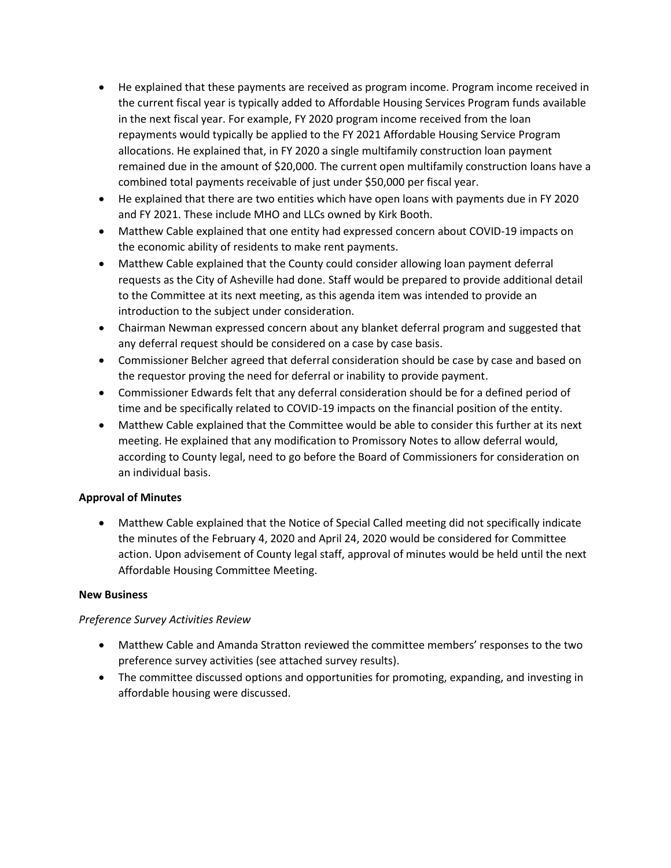- He explained that these payments are received as program income. Program income received in the current fiscal year is typically added to Affordable Housing Services Program funds available in the next fiscal year. For example, FY 2020 program income received from the loan repayments would typically be applied to the FY 2021 Affordable Housing Service Program allocations. He explained that, in FY 2020 a single multifamily construction loan payment remained due in the amount of \$20,000. The current open multifamily construction loans have a combined total payments receivable of just under \$50,000 per fiscal year.
- He explained that there are two entities which have open loans with payments due in FY 2020 and FY 2021. These include MHO and LLCs owned by Kirk Booth.
- Matthew Cable explained that one entity had expressed concern about COVID-19 impacts on the economic ability of residents to make rent payments.
- Matthew Cable explained that the County could consider allowing loan payment deferral requests as the City of Asheville had done. Staff would be prepared to provide additional detail to the Committee at its next meeting, as this agenda item was intended to provide an introduction to the subject under consideration.
- Chairman Newman expressed concern about any blanket deferral program and suggested that any deferral request should be considered on a case by case basis.
- Commissioner Belcher agreed that deferral consideration should be case by case and based on the requestor proving the need for deferral or inability to provide payment.
- Commissioner Edwards felt that any deferral consideration should be for a defined period of time and be specifically related to COVID-19 impacts on the financial position of the entity.
- Matthew Cable explained that the Committee would be able to consider this further at its next meeting. He explained that any modification to Promissory Notes to allow deferral would, according to County legal, need to go before the Board of Commissioners for consideration on an individual basis.

# **Approval of Minutes**

 Matthew Cable explained that the Notice of Special Called meeting did not specifically indicate the minutes of the February 4, 2020 and April 24, 2020 would be considered for Committee action. Upon advisement of County legal staff, approval of minutes would be held until the next Affordable Housing Committee Meeting.

# **New Business**

# *Preference Survey Activities Review*

- Matthew Cable and Amanda Stratton reviewed the committee members' responses to the two preference survey activities (see attached survey results).
- The committee discussed options and opportunities for promoting, expanding, and investing in affordable housing were discussed.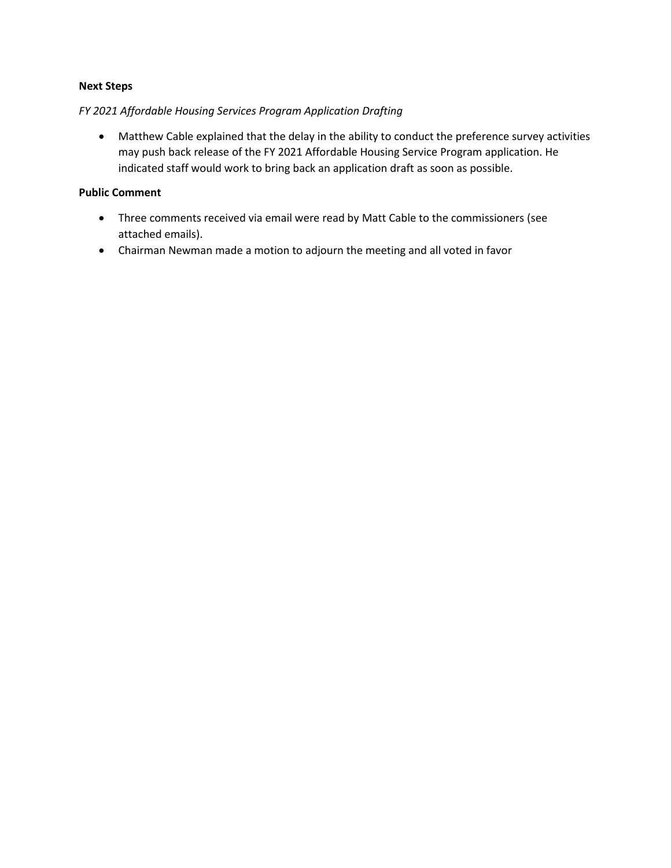#### **Next Steps**

#### *FY 2021 Affordable Housing Services Program Application Drafting*

 Matthew Cable explained that the delay in the ability to conduct the preference survey activities may push back release of the FY 2021 Affordable Housing Service Program application. He indicated staff would work to bring back an application draft as soon as possible.

#### **Public Comment**

- Three comments received via email were read by Matt Cable to the commissioners (see attached emails).
- Chairman Newman made a motion to adjourn the meeting and all voted in favor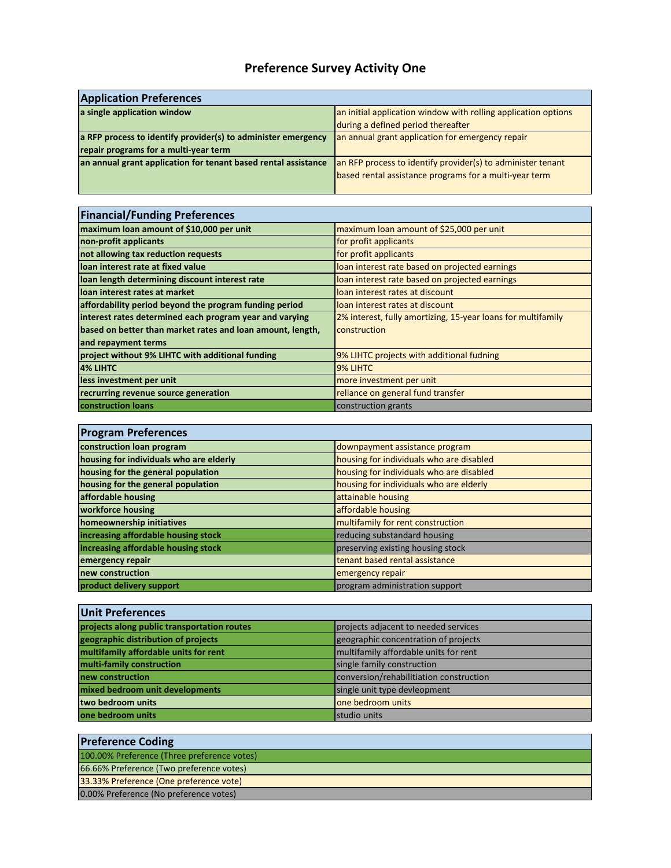# **Preference Survey Activity One**

| <b>Application Preferences</b>                                                                         |                                                                                                                       |  |
|--------------------------------------------------------------------------------------------------------|-----------------------------------------------------------------------------------------------------------------------|--|
| a single application window                                                                            | an initial application window with rolling application options<br>during a defined period thereafter                  |  |
| a RFP process to identify provider(s) to administer emergency<br>repair programs for a multi-year term | an annual grant application for emergency repair                                                                      |  |
| an annual grant application for tenant based rental assistance                                         | an RFP process to identify provider(s) to administer tenant<br>based rental assistance programs for a multi-year term |  |

÷

| <b>Financial/Funding Preferences</b>                       |                                                              |  |
|------------------------------------------------------------|--------------------------------------------------------------|--|
| maximum loan amount of \$10,000 per unit                   | maximum loan amount of \$25,000 per unit                     |  |
| non-profit applicants                                      | for profit applicants                                        |  |
| not allowing tax reduction requests                        | for profit applicants                                        |  |
| loan interest rate at fixed value                          | loan interest rate based on projected earnings               |  |
| loan length determining discount interest rate             | loan interest rate based on projected earnings               |  |
| loan interest rates at market                              | loan interest rates at discount                              |  |
| affordability period beyond the program funding period     | loan interest rates at discount                              |  |
| interest rates determined each program year and varying    | 2% interest, fully amortizing, 15-year loans for multifamily |  |
| based on better than market rates and loan amount, length, | construction                                                 |  |
| and repayment terms                                        |                                                              |  |
| project without 9% LIHTC with additional funding           | 9% LIHTC projects with additional fudning                    |  |
| <b>4% LIHTC</b>                                            | 9% LIHTC                                                     |  |
| less investment per unit                                   | more investment per unit                                     |  |
| recrurring revenue source generation                       | reliance on general fund transfer                            |  |
| <b>construction loans</b>                                  | construction grants                                          |  |

| <b>Program Preferences</b>              |                                          |
|-----------------------------------------|------------------------------------------|
| construction loan program               | downpayment assistance program           |
| housing for individuals who are elderly | housing for individuals who are disabled |
| housing for the general population      | housing for individuals who are disabled |
| housing for the general population      | housing for individuals who are elderly  |
| affordable housing                      | attainable housing                       |
| workforce housing                       | affordable housing                       |
| homeownership initiatives               | multifamily for rent construction        |
| increasing affordable housing stock     | reducing substandard housing             |
| increasing affordable housing stock     | preserving existing housing stock        |
| emergency repair                        | tenant based rental assistance           |
| new construction                        | emergency repair                         |
| product delivery support                | program administration support           |

| <b>Unit Preferences</b>                     |                                         |
|---------------------------------------------|-----------------------------------------|
| projects along public transportation routes | projects adjacent to needed services    |
| geographic distribution of projects         | geographic concentration of projects    |
| multifamily affordable units for rent       | multifamily affordable units for rent   |
| multi-family construction                   | single family construction              |
| new construction                            | conversion/rehabilitiation construction |
| mixed bedroom unit developments             | single unit type devleopment            |
| two bedroom units                           | one bedroom units                       |
| one bedroom units                           | studio units                            |

| <b>Preference Coding</b>                    |
|---------------------------------------------|
| 100.00% Preference (Three preference votes) |
| 66.66% Preference (Two preference votes)    |
| 33.33% Preference (One preference vote)     |
| 0.00% Preference (No preference votes)      |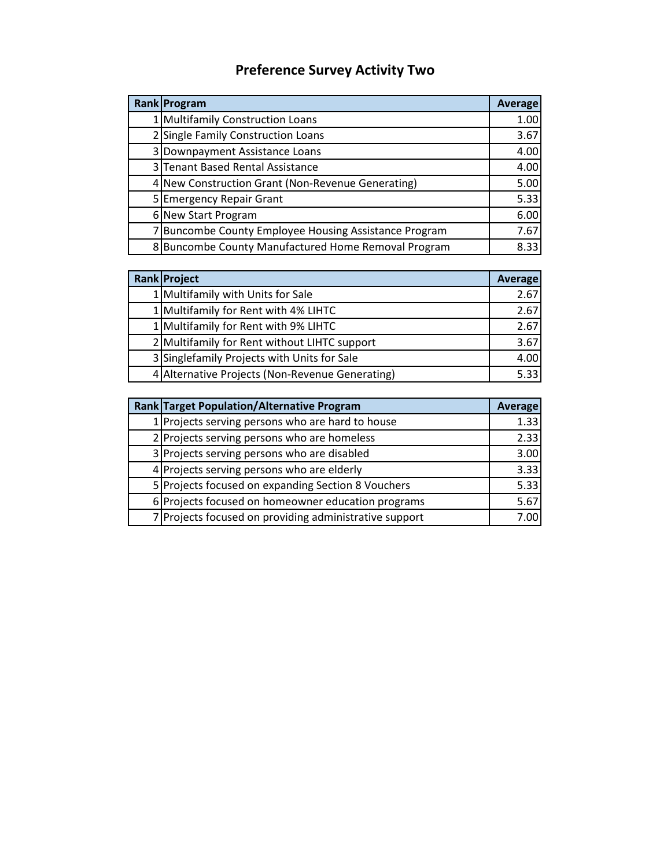# **Preference Survey Activity Two**

| <b>Rank Program</b>                                   | Average |
|-------------------------------------------------------|---------|
| 1 Multifamily Construction Loans                      | 1.00    |
| 2 Single Family Construction Loans                    | 3.67    |
| 3 Downpayment Assistance Loans                        | 4.00    |
| 3 Tenant Based Rental Assistance                      | 4.00    |
| 4 New Construction Grant (Non-Revenue Generating)     | 5.00    |
| 5 Emergency Repair Grant                              | 5.33    |
| 6 New Start Program                                   | 6.00    |
| 7 Buncombe County Employee Housing Assistance Program | 7.67    |
| 8 Buncombe County Manufactured Home Removal Program   | 8.33    |

| Rank Project                                    | <b>Average</b> |
|-------------------------------------------------|----------------|
| 1 Multifamily with Units for Sale               | 2.67           |
| 1 Multifamily for Rent with 4% LIHTC            | 2.67           |
| 1 Multifamily for Rent with 9% LIHTC            | 2.67           |
| 2 Multifamily for Rent without LIHTC support    | 3.67           |
| 3 Singlefamily Projects with Units for Sale     | 4.00           |
| 4 Alternative Projects (Non-Revenue Generating) | 5.33           |

| Rank Target Population/Alternative Program |                                                        | Average |
|--------------------------------------------|--------------------------------------------------------|---------|
|                                            | 1 Projects serving persons who are hard to house       | 1.33    |
|                                            | 2 Projects serving persons who are homeless            | 2.33    |
|                                            | 3 Projects serving persons who are disabled            | 3.00    |
|                                            | 4 Projects serving persons who are elderly             | 3.33    |
|                                            | 5 Projects focused on expanding Section 8 Vouchers     | 5.33    |
|                                            | 6 Projects focused on homeowner education programs     | 5.67    |
|                                            | 7 Projects focused on providing administrative support | 7.00    |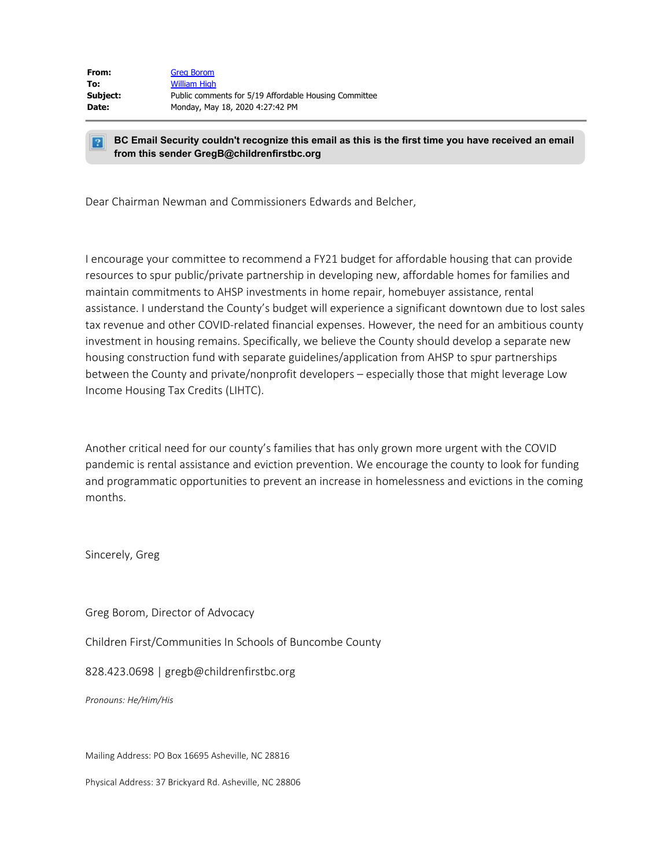| From:    | <b>Grea Borom</b>                                     |
|----------|-------------------------------------------------------|
| To:      | <b>William High</b>                                   |
| Subject: | Public comments for 5/19 Affordable Housing Committee |
| Date:    | Monday, May 18, 2020 4:27:42 PM                       |

#### **BC Email Security couldn't recognize this email as this is the first time you have received an email**  $|2|$ **from this sender GregB@childrenfirstbc.org**

Dear Chairman Newman and Commissioners Edwards and Belcher,

I encourage your committee to recommend a FY21 budget for affordable housing that can provide resources to spur public/private partnership in developing new, affordable homes for families and maintain commitments to AHSP investments in home repair, homebuyer assistance, rental assistance. I understand the County's budget will experience a significant downtown due to lost sales tax revenue and other COVID-related financial expenses. However, the need for an ambitious county investment in housing remains. Specifically, we believe the County should develop a separate new housing construction fund with separate guidelines/application from AHSP to spur partnerships between the County and private/nonprofit developers – especially those that might leverage Low Income Housing Tax Credits (LIHTC).

Another critical need for our county's families that has only grown more urgent with the COVID pandemic is rental assistance and eviction prevention. We encourage the county to look for funding and programmatic opportunities to prevent an increase in homelessness and evictions in the coming months.

Sincerely, Greg

Greg Borom, Director of Advocacy

Children First/Communities In Schools of Buncombe County

828.423.0698 | gregb@childrenfirstbc.org

*Pronouns: He/Him/His*

Mailing Address: PO Box 16695 Asheville, NC 28816

Physical Address: 37 Brickyard Rd. Asheville, NC 28806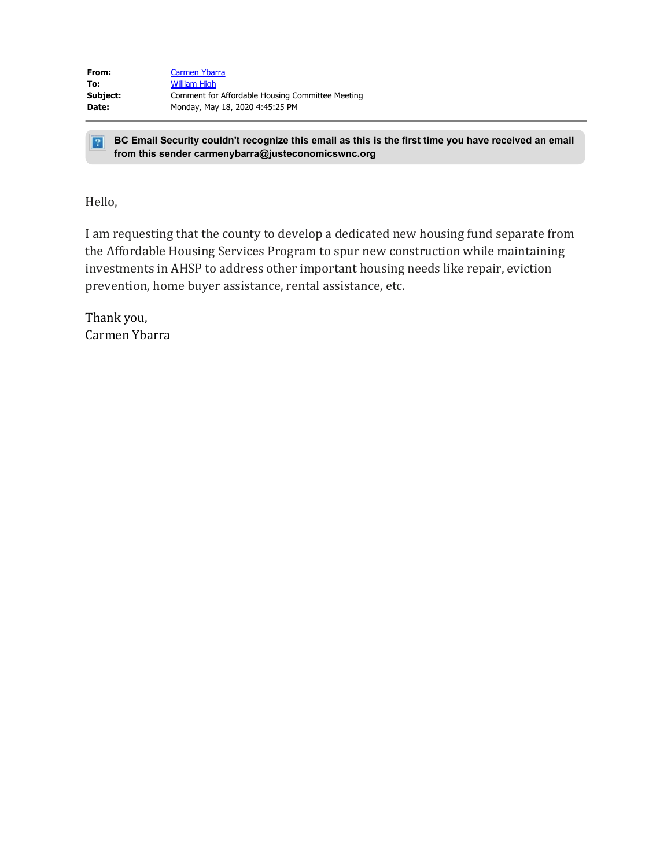| From:    | Carmen Ybarra                                    |
|----------|--------------------------------------------------|
| To:      | <b>William High</b>                              |
| Subject: | Comment for Affordable Housing Committee Meeting |
| Date:    | Monday, May 18, 2020 4:45:25 PM                  |

**BC Email Security couldn't recognize this email as this is the first time you have received an email from this sender carmenybarra@justeconomicswnc.org**

Hello,

I am requesting that the county to develop a dedicated new housing fund separate from the Affordable Housing Services Program to spur new construction while maintaining investments in AHSP to address other important housing needs like repair, eviction prevention, home buyer assistance, rental assistance, etc.

Thank you, Carmen Ybarra